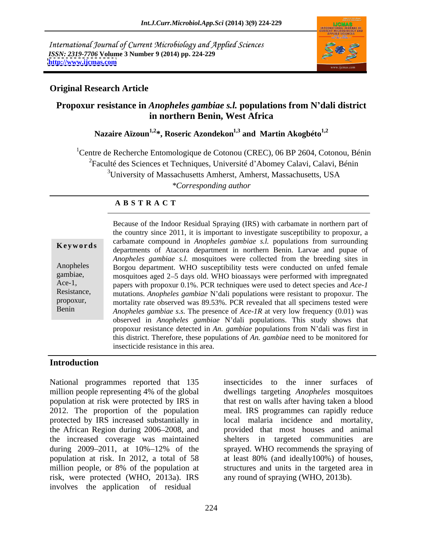International Journal of Current Microbiology and Applied Sciences *ISSN: 2319-7706* **Volume 3 Number 9 (2014) pp. 224-229 <http://www.ijcmas.com>**



#### **Original Research Article**

### **Propoxur resistance in** *Anopheles gambiae s.l.* **populations from N dali district in northern Benin, West Africa**

Nazaire Aïzoun<sup>1,2\*</sup>, Roseric Azondekon<sup>1,3</sup> and Martin Akogbéto<sup>1,2</sup>

<sup>1</sup>Centre de Recherche Entomologique de Cotonou (CREC), 06 BP 2604, Cotonou, Bénin <sup>2</sup>Faculté des Sciences et Techniques, Université d'Abomey Calavi, Calavi, Bénin <sup>3</sup>University of Massachusetts Amherst, Amherst, Massachusetts, USA *\*Corresponding author*

#### **A B S T R A C T**

| Keywords                                                                |
|-------------------------------------------------------------------------|
| Anopheles<br>gambiae,<br>$Acc-1$ ,<br>Resistance,<br>propoxur,<br>Benin |
|                                                                         |

**Keywords** departments of Atacora department in northern Benin. Larvae and pupae of Anopheles Borgou department. WHO susceptibility tests were conducted on unfed female gambiae, mosquitoes aged 2–5 days old. WHO bioassays were performed with impregnated Ace-1, papers with propoxur 0.1%. PCR techniques were used to detect species and *Ace-1* Resistance, mutations. *Anopheles gambiae* N'dali populations were resistant to propoxur. The propoxur, mortality rate observed was 89.53%. PCR revealed that all specimens tested were Benin *Anopheles gambiae s.s.* The presence of *Ace-1R* at very low frequency (0.01) was Because of the Indoor Residual Spraying (IRS) with carbamate in northern part of the country since 2011, it is important to investigate susceptibility to propoxur, a carbamate compound in *Anopheles gambiae s.l.* populations from surrounding *Anopheles gambiae s.l.* mosquitoes were collected from the breeding sites in observed in *Anopheles gambiae* N'dali populations. This study shows that propoxur resistance detected in *An. gambiae* populations from N'dali was first in this district. Therefore, these populations of *An. gambiae* need to be monitored for insecticide resistance in this area.

#### **Introduction**

National programmes reported that 135 million people representing 4% of the global dwellings targeting *Anopheles* mosquitoes population at risk were protected by IRS in that rest on walls after having taken a blood 2012. The proportion of the population meal. IRS programmes can rapidly reduce protected by IRS increased substantially in local malaria incidence and mortality, the African Region during 2006 2008, and provided that most houses and animal the increased coverage was maintained during 2009 2011, at 10% 12% of the sprayed. WHO recommends the spraying of population at risk. In 2012, a total of 58 at least 80% (and ideally100%) of houses, million people, or 8% of the population at structures and units in the targeted area in risk, were protected (WHO, 2013a). IRS involves the application of residual

insecticides to the inner surfaces of dwellings targeting *Anopheles* mosquitoes shelters in targeted communities are structures and units in the targeted area in any round of spraying (WHO, 2013b).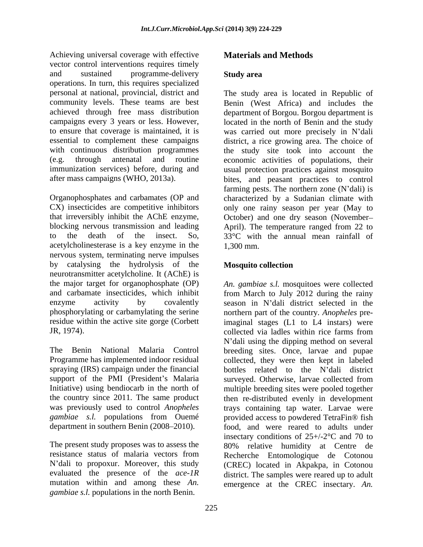Achieving universal coverage with effective vector control interventions requires timely and sustained programme-delivery **Study area** operations. In turn, this requires specialized personal at national, provincial, district and

acetylcholinesterase is a key enzyme in the nervous system, terminating nerve impulses by catalysing the hydrolysis of the neurotransmitter acetylcholine. It (AChE) is<br>the major target for organophosphate (OP) JR, 1974). Collected via ladles within rice farms from

evaluated the presence of the *ace-1R*<br>mutation within and among these An. mutation within and among these *An.* emergence at the CREC insectary. *An. gambiae s.l.* populations in the north Benin.

## **Materials and Methods**

### **Study area**

community levels. These teams are best Benin (West Africa) and includes the achieved through free mass distribution department of Borgou. Borgou department is campaigns every 3 years or less. However, located in the north of Benin and the study to ensure that coverage is maintained, it is was carried out more precisely in N'dali essential to complement these campaigns district, a rice growing area. The choice of with continuous distribution programmes the study site took into account the (e.g. through antenatal and routine economic activities of populations, their immunization services) before, during and usual protection practices against mosquito after mass campaigns (WHO, 2013a). bites, and peasant practices to control Organophosphates and carbamates (OP and characterized by a Sudanian climate with CX) insecticides are competitive inhibitors only one rainy season per year (May to that irreversibly inhibit the AChE enzyme, Cotober) and one dry season (November-<br>blocking nervous transmission and leading April). The temperature ranged from 22 to to the death of the insect. So, 33°C with the annual mean rainfall of The study area is located in Republic of farming pests. The northern zone  $(N' dali)$  is October) and one dry season (November April). The temperature ranged from 22 to 1,300 mm.

### **Mosquito collection**

the major target for organophosphate (OP) *An. gambiae s.l.* mosquitoes were collected and carbamate insecticides, which inhibit from March to July 2012 during the rainy enzyme activity by covalently season in N'dali district selected in the phosphorylating or carbamylating the serine northern part of the country*. Anopheles* preresidue within the active site gorge (Corbett imaginal stages (L1 to L4 instars) were The Benin National Malaria Control breeding sites. Once, larvae and pupae Programme has implemented indoor residual collected, they were then kept in labeled spraying (IRS) campaign under the financial bottles related to the N'dali district support of the PMI (President's Malaria surveyed. Otherwise, larvae collected from Initiative) using bendiocarb in the north of multiple breeding sites were pooled together the country since 2011. The same product then re-distributed evenly in development was previously used to control *Anopheles* trays containing tap water. Larvae were *gambiae s.l.* populations from Ouemé provided access to powdered TetraFin® fish department in southern Benin (2008 2010). food, and were reared to adults under The present study proposes was to assess the 80% relative humidity at Centre de resistance status of malaria vectors from Recherche Entomologique de Cotonou N dali to propoxur. Moreover, this study (CREC) located in Akpakpa, in Cotonou collected via ladles within rice farms from N'dali using the dipping method on several insectary conditions of  $25+/2$ °C and 70 to district. The samples were reared up to adult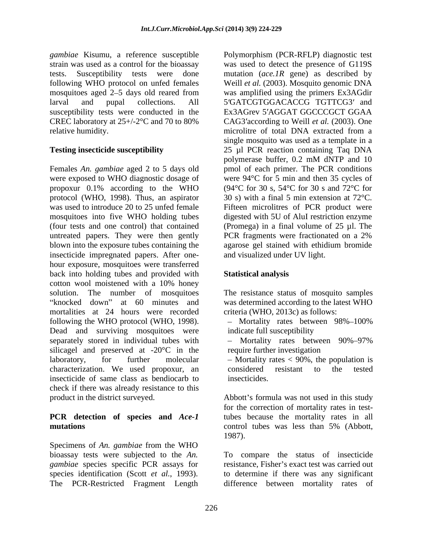*gambiae* Kisumu, a reference susceptible Polymorphism (PCR-RFLP) diagnostic test strain was used as a control for the bioassay was used to detect the presence of G119S tests. Susceptibility tests were done mutation (*ace.1R* gene) as described by following WHO protocol on unfed females mosquitoes aged 2–5 days old reared from larval and pupal collections. All 5'GATCGTGGACACCG TGTTCG3' and susceptibility tests were conducted in the Ex3AGrev 5'AGGAT GGCCCGCT GGAA CREC laboratory at 25+/-2°C and 70 to 80% CAG3 according to Weill *et al.* (2003). One relative humidity. The microlity of total DNA extracted from a relative humidity.

Females *An. gambiae* aged 2 to 5 days old were exposed to WHO diagnostic dosage of propoxur 0.1% according to the WHO  $(94^{\circ}C \text{ for } 30 \text{ s}, 54^{\circ}C \text{ for } 30 \text{ s and } 72^{\circ}C \text{ for }$ protocol (WHO, 1998). Thus, an aspirator  $30 \text{ s}$ ) with a final 5 min extension at 72 °C. was used to introduce 20 to 25 unfed female Fifteen microlities of PCR product were mosquitoes into five WHO holding tubes (four tests and one control) that contained untreated papers. They were then gently PCR fragments were fractionated on a 2% blown into the exposure tubes containing the insecticide impregnated papers. After one hour exposure, mosquitoes were transferred back into holding tubes and provided with cotton wool moistened with a 10% honey solution. The number of mosquitoes The resistance status of mosquito samples knocked down" at 60 minutes and was determined according to the latest WHO mortalities at 24 hours were recorded following the WHO protocol (WHO, 1998).  $\qquad -$  Mortality rates between 98%–100% Dead and surviving mosquitoes were indicate full susceptibility separately stored in individual tubes with  $-$  Mortality rates between 90%-97% silicagel and preserved at -20°C in the laboratory, for further molecular - Mortality rates < 90%, the population is characterization. We used propoxur, an insecticide of same class as bendiocarb to check if there was already resistance to this

#### **PCR detection of species and** *Ace-1*  **mutations** and the control tubes was less than 5% (Abbott,

Specimens of *An. gambiae* from the WHO

**Testing insecticide susceptibility** 25 µl PCR reaction containing Taq DNA Weill *et al.* (2003). Mosquito genomic DNA was amplified using the primers Ex3AGdir Ex3AGrev 5'AGGAT GGCCCGCT GGAA microlitre of total DNA extracted from a single mosquito was used as a template in a polymerase buffer, 0.2 mM dNTP and 10 pmol of each primer. The PCR conditions were 94°C for 5 min and then 35 cycles of <sup>30</sup> s) with <sup>a</sup> final <sup>5</sup> min extension at 72°C. Fifteen microlitres of PCR product were digested with 5U of AluI restriction enzyme (Promega) in a final volume of 25 µl. The PCR fragments were fractionated on a 2% agarose gel stained with ethidium bromide and visualized under UV light.

### **Statistical analysis**

criteria (WHO, 2013c) as follows:

indicate full susceptibility

Mortality rates between 90%–97% require further investigation

considered resistant to the tested insecticides.

product in the district surveyed. Abbott's formula was not used in this study for the correction of mortality rates in testtubes because the mortality rates in all control tubes was less than 5% (Abbott, 1987).

bioassay tests were subjected to the *An.*  To compare the status of insecticide *gambiae* species specific PCR assays for resistance, Fisher's exact test was carried out species identification (Scott *et al.*, 1993). to determine if there was any significant<br>The PCR-Restricted Fragment Length difference between mortality rates of to determine if there was any significant difference between mortality rates of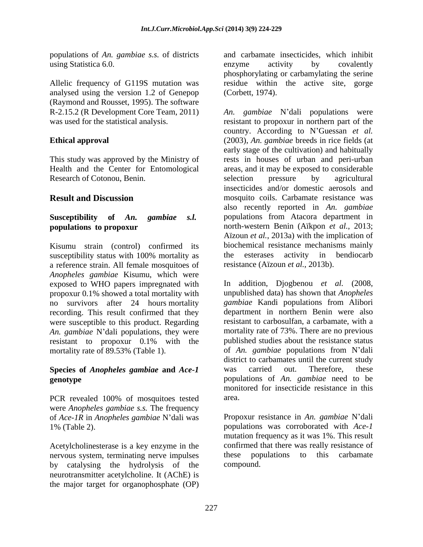populations of *An. gambiae s.s.* of districts

analysed using the version 1.2 of Genepop (Raymond and Rousset, 1995). The software

Research of Cotonou, Benin. Selection pressure by agricultural

Kisumu strain (control) confirmed its susceptibility status with 100% mortality as the esterases activity in a reference strain. All female mosquitoes of resistance (Aïzoun *et al.*, 2013b). a reference strain. All female mosquitoes of *Anopheles gambiae* Kisumu, which were exposed to WHO papers impregnated with In addition, Djogbenou et al. (2008, propoxur 0.1% showed a total mortality with no survivors after 24 hours mortality recording. This result confirmed that they were susceptible to this product. Regarding An. *gambiae* N'dali populations, they were

# **Species of** *Anopheles gambiae* **and** *Ace-1*

PCR revealed 100% of mosquitoes tested area. were *Anopheles gambiae s.s.* The frequency of *Ace-1R* in *Anopheles gambiae* N dali was

Acetylcholinesterase is a key enzyme in the nervous system, terminating nerve impulses these populations to this carbamate by catalysing the hydrolysis of the neurotransmitter acetylcholine. It (AChE) is the major target for organophosphate (OP)

using Statistica 6.0. The covalently covalently activity by covalently Allelic frequency of G119S mutation was residue within the active site, gorge and carbamate insecticides, which inhibit enzyme activity by covalently phosphorylating or carbamylating the serine (Corbett, 1974).

R-2.15.2 (R Development Core Team, 2011) An. gambiae N'dali populations were was used for the statistical analysis. resistant to propoxur in northern part of the **Ethical approval** (2003), *An. gambiae* breeds in rice fields (at This study was approved by the Ministry of rests in houses of urban and peri-urban Health and the Center for Entomological areas, and it may be exposed to considerable **Result and Discussion mosquito coils.** Carbamate resistance was **Susceptibility of** *An. gambiae s.l.* populations from Atacora department in **populations to propoxur** north-western Benin (Aïkpon *et al.*, 2013; country. According to N'Guessan *et al.* early stage of the cultivation) and habitually selection pressure by agricultural insecticides and/or domestic aerosols and also recently reported in *An. gambiae* Aïzoun *et al.*, 2013a) with the implication of biochemical resistance mechanisms mainly the esterases activity in bendiocarb

resistant to propoxur 0.1% with the published studies about the resistance status mortality rate of 89.53% (Table 1). of *An.* gambiae populations from N'dali **genotype**  populations of *An. gambiae* need to be resistance (Aïzoun *et al.*, 2013b). In addition, Djogbenou *et al.* (2008, unpublished data) has shown that *Anopheles gambiae* Kandi populations from Alibori department in northern Benin were also resistant to carbosulfan, a carbamate, with a mortality rate of 73%. There are no previous published studies about the resistance status district to carbamates until the current study was carried out. Therefore, these monitored for insecticide resistance in this area.

1% (Table 2). populations was corroborated with *Ace-1*  Propoxur resistance in *An. gambiae* N'dali mutation frequency as it was 1%. This result confirmed that there was really resistance of these populations to this carbamate compound.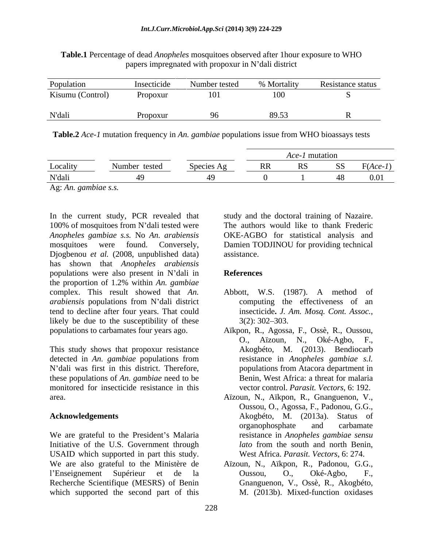| Population       | Insecticide | Number tested | % Mortality | Resistance status |
|------------------|-------------|---------------|-------------|-------------------|
| Kisumu (Control) | Propoxur    |               |             |                   |
| N'dali           |             |               | 9052        |                   |

**Table.1** Percentage of dead *Anopheles* mosquitoes observed after 1hour exposure to WHO papers impregnated with propoxur in N'dali district

**Table.2** *Ace-1* mutation frequency in *An. gambiae* populations issue from WHO bioassays tests

|                                                         | A <i>ce-1</i> mutation |    |            |
|---------------------------------------------------------|------------------------|----|------------|
| Locality<br>$\mathbf{r}$<br>Species Ag<br>Number tested | RR                     | SS | $F(Ace-1)$ |
| N'dali                                                  |                        | 40 |            |

Ag: *An. gambiae s.s.*

In the current study, PCR revealed that study and the doctoral training of Nazaire. 100% of mosquitoes from N'dali tested were *Anopheles gambiae s.s.* No *An. arabiensis* OKE-AGBO for statistical analysis and mosquitoes were found. Conversely, Damien TODJINOU for providing technical Djogbenou *et al.* (2008, unpublished data) has shown that *Anopheles arabiensis* populations were also present in N'dali in References the proportion of 1.2% within *An. gambiae* complex. This result showed that *An*. Abbott, W.S. (1987). A method of *arabiensis* populations from N'dali district tend to decline after four years. That could insecticide. J. Am. Mosq. Cont. Assoc., likely be due to the susceptibility of these  $3(2)$ : 302–303.

This study shows that propoxur resistance Akogbéto, M. (2013). Bendiocarb N'dali was first in this district. Therefore, these populations of *An. gambiae* need to be monitored for insecticide resistance in this

We are grateful to the President's Malaria Initiative of the U.S. Government through USAID which supported in part this study. We are also grateful to the Ministère de Aïzoun, N., Aïkpon, R., Padonou, G.G., l'Enseignement Supérieur et de la Cussou, O., Oké-Agbo, F., Recherche Scientifique (MESRS) of Benin which supported the second part of this

The authors would like to thank Frederic assistance.

### **References**

- Abbott, W.S. (1987). A method computing the effectiveness of an insecticide**.** *J. Am. Mosq. Cont. Assoc.*, 3(2):302 303.
- populations to carbamates four years ago. Aïkpon, R., Agossa, F., Ossè, R., Oussou, detected in *An. gambiae* populations from resistance in *Anopheles gambiae s.l.* O., Aïzoun, N., Oké-Agbo, F., Akogbéto, M. (2013). Bendiocarb populations from Atacora department in Benin, West Africa: a threat for malaria vector control. *Parasit. Vectors*, 6: 192.
- area. Aïzoun, N., Aïkpon, R., Gnanguenon, V., **Acknowledgements** Akogbéto, M. (2013a). Status of Oussou, O., Agossa, F., Padonou, G.G., organophosphate and carbamate resistance in *Anopheles gambiae sensu lato* from the south and north Benin, West Africa. *Parasit. Vectors*, 6: 274.
	- Oussou, O., Oké-Agbo, F., Gnanguenon, V., Ossè, R., Akogbéto, M. (2013b). Mixed-function oxidases